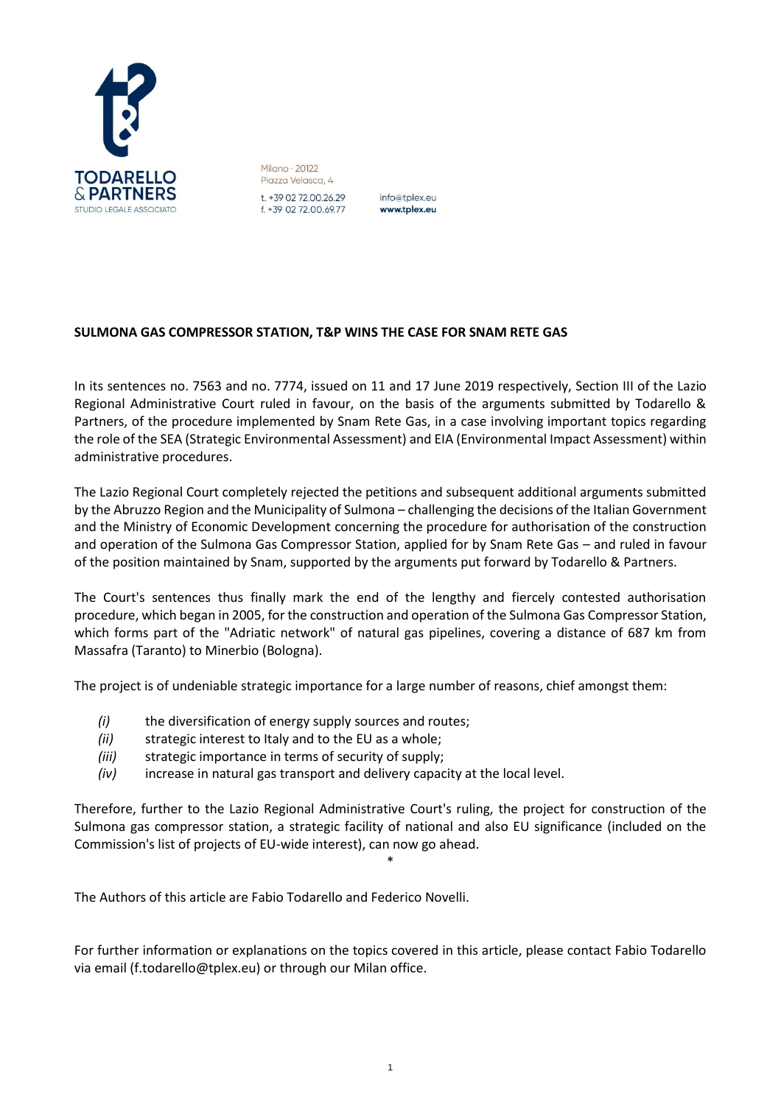

Milano · 20122 Piazza Velasca, 4 t. +39 02 72.00.26.29 f. +39 02 72.00.69.77

info@tplex.eu www.tplex.eu

## **[SULMONA GAS COMPRESSOR STATION, T&P WINS](https://www.tplex.eu/centrale-gas-di-sulmona-tp-vince-per-snam-rete-gas/) THE CASE FOR SNAM RETE GAS**

In its sentences no. 7563 and no. 7774, issued on 11 and 17 June 2019 respectively, Section III of the Lazio Regional Administrative Court ruled in favour, on the basis of the arguments submitted by Todarello & Partners, of the procedure implemented by Snam Rete Gas, in a case involving important topics regarding the role of the SEA (Strategic Environmental Assessment) and EIA (Environmental Impact Assessment) within administrative procedures.

The Lazio Regional Court completely rejected the petitions and subsequent additional arguments submitted by the Abruzzo Region and the Municipality of Sulmona – challenging the decisions of the Italian Government and the Ministry of Economic Development concerning the procedure for authorisation of the construction and operation of the Sulmona Gas Compressor Station, applied for by Snam Rete Gas – and ruled in favour of the position maintained by Snam, supported by the arguments put forward by Todarello & Partners.

The Court's sentences thus finally mark the end of the lengthy and fiercely contested authorisation procedure, which began in 2005, for the construction and operation of the Sulmona Gas Compressor Station, which forms part of the "Adriatic network" of natural gas pipelines, covering a distance of 687 km from Massafra (Taranto) to Minerbio (Bologna).

The project is of undeniable strategic importance for a large number of reasons, chief amongst them:

- *(i)* the diversification of energy supply sources and routes;
- *(ii)* strategic interest to Italy and to the EU as a whole;
- *(iii)* strategic importance in terms of security of supply;
- *(iv)* increase in natural gas transport and delivery capacity at the local level.

Therefore, further to the Lazio Regional Administrative Court's ruling, the project for construction of the Sulmona gas compressor station, a strategic facility of national and also EU significance (included on the Commission's list of projects of EU-wide interest), can now go ahead.

\*

The Authors of this article are Fabio Todarello and Federico Novelli.

For further information or explanations on the topics covered in this article, please contact Fabio Todarello via email (f.todarello@tplex.eu) or through our Milan office.